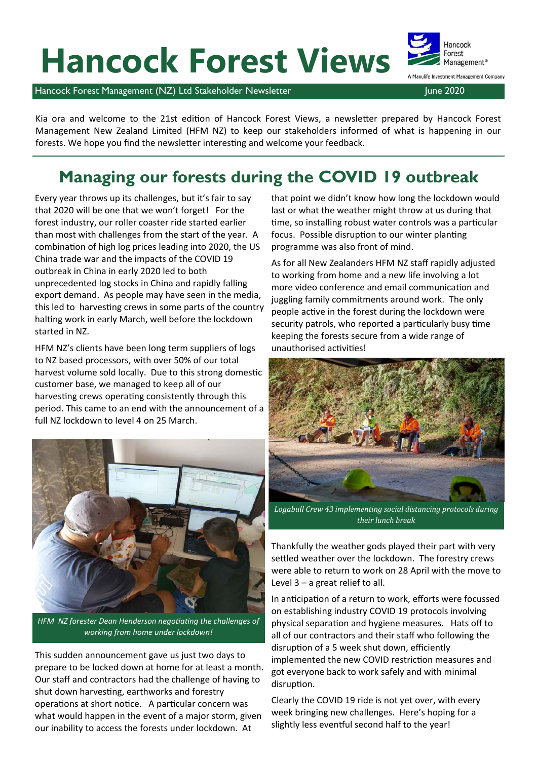# **Hancock Forest Views**

Hancock Forest Management (NZ) Ltd Stakeholder Newsletter June 2020 June 2020

Kia ora and welcome to the 21st edition of Hancock Forest Views, a newsletter prepared by Hancock Forest Management New Zealand Limited (HFM NZ) to keep our stakeholders informed of what is happening in our forests. We hope you find the newsletter interesting and welcome your feedback.

### **Managing our forests during the COVID 19 outbreak**

Every year throws up its challenges, but it's fair to say that 2020 will be one that we won't forget! For the forest industry, our roller coaster ride started earlier than most with challenges from the start of the year. A combination of high log prices leading into 2020, the US China trade war and the impacts of the COVID 19 outbreak in China in early 2020 led to both unprecedented log stocks in China and rapidly falling export demand. As people may have seen in the media, this led to harvesting crews in some parts of the country halting work in early March, well before the lockdown started in NZ.

HFM NZ's clients have been long term suppliers of logs to NZ based processors, with over 50% of our total harvest volume sold locally. Due to this strong domestic customer base, we managed to keep all of our harvesting crews operating consistently through this period. This came to an end with the announcement of a full NZ lockdown to level 4 on 25 March.



*HFM NZ forester Dean Henderson negotiating the challenges of working from home under lockdown!*

This sudden announcement gave us just two days to prepare to be locked down at home for at least a month. Our staff and contractors had the challenge of having to shut down harvesting, earthworks and forestry operations at short notice. A particular concern was what would happen in the event of a major storm, given our inability to access the forests under lockdown. At

that point we didn't know how long the lockdown would last or what the weather might throw at us during that time, so installing robust water controls was a particular focus. Possible disruption to our winter planting programme was also front of mind.

As for all New Zealanders HFM NZ staff rapidly adjusted to working from home and a new life involving a lot more video conference and email communication and juggling family commitments around work. The only people active in the forest during the lockdown were security patrols, who reported a particularly busy time keeping the forests secure from a wide range of unauthorised activities!



*Logabull Crew 43 implementing social distancing protocols during their lunch break*

Thankfully the weather gods played their part with very settled weather over the lockdown. The forestry crews were able to return to work on 28 April with the move to Level 3 – a great relief to all.

In anticipation of a return to work, efforts were focussed on establishing industry COVID 19 protocols involving physical separation and hygiene measures. Hats off to all of our contractors and their staff who following the disruption of a 5 week shut down, efficiently implemented the new COVID restriction measures and got everyone back to work safely and with minimal disruption.

Clearly the COVID 19 ride is not yet over, with every week bringing new challenges. Here's hoping for a slightly less eventful second half to the year!

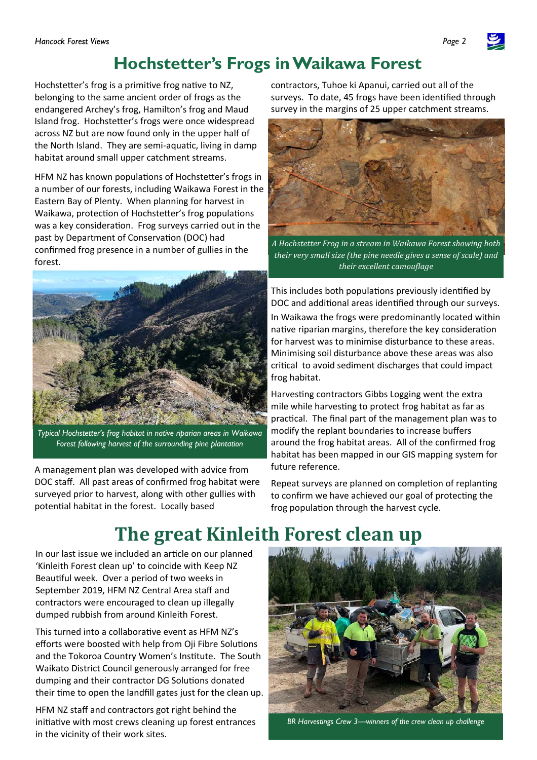

Hochstetter's frog is a primitive frog native to NZ, belonging to the same ancient order of frogs as the endangered Archey's frog, Hamilton's frog and Maud Island frog. Hochstetter's frogs were once widespread across NZ but are now found only in the upper half of the North Island. They are semi-aquatic, living in damp habitat around small upper catchment streams.

HFM NZ has known populations of Hochstetter's frogs in a number of our forests, including Waikawa Forest in the Eastern Bay of Plenty. When planning for harvest in Waikawa, protection of Hochstetter's frog populations was a key consideration. Frog surveys carried out in the past by Department of Conservation (DOC) had confirmed frog presence in a number of gullies in the forest.



*Typical Hochstetter's frog habitat in native riparian areas in Waikawa Forest following harvest of the surrounding pine plantation* 

A management plan was developed with advice from DOC staff. All past areas of confirmed frog habitat were surveyed prior to harvest, along with other gullies with potential habitat in the forest. Locally based

contractors, Tuhoe ki Apanui, carried out all of the surveys. To date, 45 frogs have been identified through survey in the margins of 25 upper catchment streams.



*A Hochstetter Frog in a stream in Waikawa Forest showing both their very small size (the pine needle gives a sense of scale) and their excellent camouflage* 

This includes both populations previously identified by DOC and additional areas identified through our surveys. In Waikawa the frogs were predominantly located within native riparian margins, therefore the key consideration for harvest was to minimise disturbance to these areas. Minimising soil disturbance above these areas was also critical to avoid sediment discharges that could impact frog habitat.

Harvesting contractors Gibbs Logging went the extra mile while harvesting to protect frog habitat as far as practical. The final part of the management plan was to modify the replant boundaries to increase buffers around the frog habitat areas. All of the confirmed frog habitat has been mapped in our GIS mapping system for future reference.

Repeat surveys are planned on completion of replanting to confirm we have achieved our goal of protecting the frog population through the harvest cycle.

## **The great Kinleith Forest clean up**

In our last issue we included an article on our planned 'Kinleith Forest clean up' to coincide with Keep NZ Beautiful week. Over a period of two weeks in September 2019, HFM NZ Central Area staff and contractors were encouraged to clean up illegally dumped rubbish from around Kinleith Forest.

This turned into a collaborative event as HFM NZ's efforts were boosted with help from Oji Fibre Solutions and the Tokoroa Country Women's Institute. The South Waikato District Council generously arranged for free dumping and their contractor DG Solutions donated their time to open the landfill gates just for the clean up.

HFM NZ staff and contractors got right behind the initiative with most crews cleaning up forest entrances in the vicinity of their work sites.



*BR Harvestings Crew 3—winners of the crew clean up challenge* 

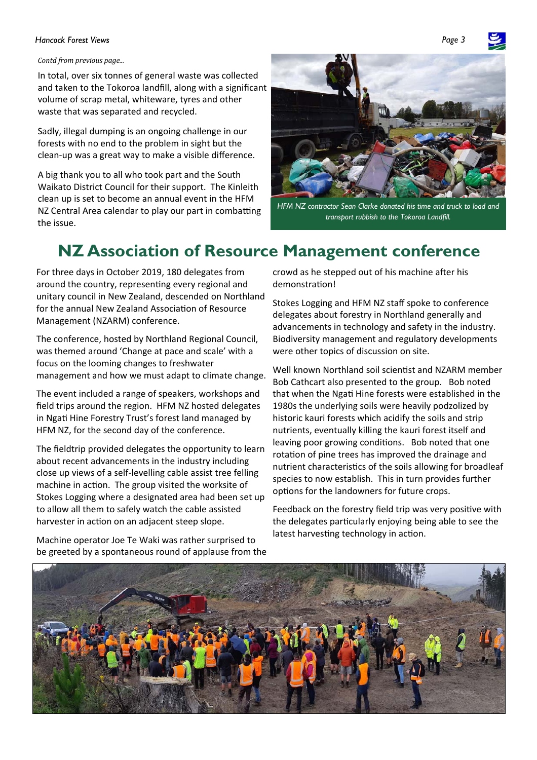#### **Hancock Forest Views**

#### *Contd from previous page...*

In total, over six tonnes of general waste was collected and taken to the Tokoroa landfill, along with a significant volume of scrap metal, whiteware, tyres and other waste that was separated and recycled.

Sadly, illegal dumping is an ongoing challenge in our forests with no end to the problem in sight but the clean‐up was a great way to make a visible difference.

A big thank you to all who took part and the South Waikato District Council for their support. The Kinleith clean up is set to become an annual event in the HFM NZ Central Area calendar to play our part in combatting the issue.



*HFM NZ contractor Sean Clarke donated his time and truck to load and transport rubbish to the Tokoroa Landfill.* 

### **NZ Association of Resource Management conference**

For three days in October 2019, 180 delegates from around the country, representing every regional and unitary council in New Zealand, descended on Northland for the annual New Zealand Association of Resource Management (NZARM) conference.

The conference, hosted by Northland Regional Council, was themed around 'Change at pace and scale' with a focus on the looming changes to freshwater management and how we must adapt to climate change.

The event included a range of speakers, workshops and field trips around the region. HFM NZ hosted delegates in Ngati Hine Forestry Trust's forest land managed by HFM NZ, for the second day of the conference.

The fieldtrip provided delegates the opportunity to learn about recent advancements in the industry including close up views of a self‐levelling cable assist tree felling machine in action. The group visited the worksite of Stokes Logging where a designated area had been set up to allow all them to safely watch the cable assisted harvester in action on an adjacent steep slope.

Machine operator Joe Te Waki was rather surprised to be greeted by a spontaneous round of applause from the

crowd as he stepped out of his machine after his demonstration!

Stokes Logging and HFM NZ staff spoke to conference delegates about forestry in Northland generally and advancements in technology and safety in the industry. Biodiversity management and regulatory developments were other topics of discussion on site.

Well known Northland soil scientist and NZARM member Bob Cathcart also presented to the group. Bob noted that when the NgaƟ Hine forests were established in the 1980s the underlying soils were heavily podzolized by historic kauri forests which acidify the soils and strip nutrients, eventually killing the kauri forest itself and leaving poor growing conditions. Bob noted that one rotation of pine trees has improved the drainage and nutrient characteristics of the soils allowing for broadleaf species to now establish. This in turn provides further options for the landowners for future crops.

Feedback on the forestry field trip was very positive with the delegates particularly enjoying being able to see the latest harvesting technology in action.



*Page 3*